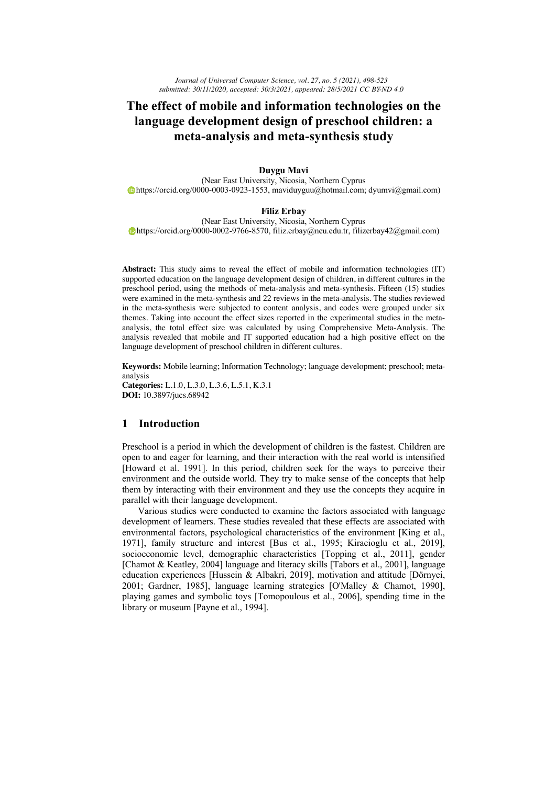# **The effect of mobile and information technologies on the language development design of preschool children: a meta-analysis and meta-synthesis study**

# **Duygu Mavi**

(Near East University, Nicosia, Northern Cyprus  $\bullet$  https://orcid.org/0000-0003-0923-1553, maviduyguu@hotmail.com; dyumvi@gmail.com)

#### **Filiz Erbay**

(Near East University, Nicosia, Northern Cyprus https://orcid.org/0000-0002-9766-8570, filiz.erbay@neu.edu.tr, filizerbay42@gmail.com)

Abstract: This study aims to reveal the effect of mobile and information technologies (IT) supported education on the language development design of children, in different cultures in the preschool period, using the methods of meta-analysis and meta-synthesis. Fifteen (15) studies were examined in the meta-synthesis and 22 reviews in the meta-analysis. The studies reviewed in the meta-synthesis were subjected to content analysis, and codes were grouped under six themes. Taking into account the effect sizes reported in the experimental studies in the metaanalysis, the total effect size was calculated by using Comprehensive Meta-Analysis. The analysis revealed that mobile and IT supported education had a high positive effect on the language development of preschool children in different cultures.

**Keywords:** Mobile learning; Information Technology; language development; preschool; metaanalysis **Categories:** L.1.0, L.3.0, L.3.6, L.5.1, K.3.1

**DOI:** 10.3897/jucs.68942

# **1 Introduction**

Preschool is a period in which the development of children is the fastest. Children are open to and eager for learning, and their interaction with the real world is intensified [Howard et al. 1991]. In this period, children seek for the ways to perceive their environment and the outside world. They try to make sense of the concepts that help them by interacting with their environment and they use the concepts they acquire in parallel with their language development.

Various studies were conducted to examine the factors associated with language development of learners. These studies revealed that these effects are associated with environmental factors, psychological characteristics of the environment [King et al., 1971], family structure and interest [Bus et al., 1995; Kiracioglu et al., 2019], socioeconomic level, demographic characteristics [Topping et al., 2011], gender [Chamot & Keatley, 2004] language and literacy skills [Tabors et al., 2001], language education experiences [Hussein & Albakri, 2019], motivation and attitude [Dörnyei, 2001; Gardner, 1985], language learning strategies [O'Malley & Chamot, 1990], playing games and symbolic toys [Tomopoulous et al., 2006], spending time in the library or museum [Payne et al., 1994].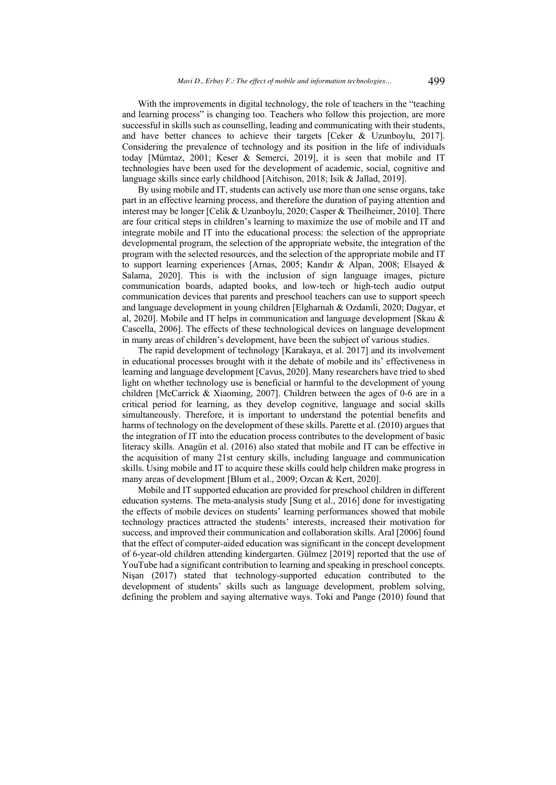With the improvements in digital technology, the role of teachers in the "teaching and learning process" is changing too. Teachers who follow this projection, are more successful in skills such as counselling, leading and communicating with their students, and have better chances to achieve their targets [Ceker & Uzunboylu, 2017]. Considering the prevalence of technology and its position in the life of individuals today [Mümtaz, 2001; Keser & Semerci, 2019], it is seen that mobile and IT technologies have been used for the development of academic, social, cognitive and language skills since early childhood [Aitchison, 2018; Isik & Jallad, 2019].

By using mobile and IT, students can actively use more than one sense organs, take part in an effective learning process, and therefore the duration of paying attention and interest may be longer [Celik & Uzunboylu, 2020; Casper & Theilheimer, 2010]. There are four critical steps in children's learning to maximize the use of mobile and IT and integrate mobile and IT into the educational process: the selection of the appropriate developmental program, the selection of the appropriate website, the integration of the program with the selected resources, and the selection of the appropriate mobile and IT to support learning experiences [Arnas, 2005; Kandır & Alpan, 2008; Elsayed & Salama, 2020]. This is with the inclusion of sign language images, picture communication boards, adapted books, and low-tech or high-tech audio output communication devices that parents and preschool teachers can use to support speech and language development in young children [Elgharnah & Ozdamli, 2020; Dagyar, et al, 2020]. Mobile and IT helps in communication and language development [Skau & Cascella, 2006]. The effects of these technological devices on language development in many areas of children's development, have been the subject of various studies.

The rapid development of technology [Karakaya, et al. 2017] and its involvement in educational processes brought with it the debate of mobile and its' effectiveness in learning and language development [Cavus, 2020]. Many researchers have tried to shed light on whether technology use is beneficial or harmful to the development of young children [McCarrick & Xiaoming, 2007]. Children between the ages of 0-6 are in a critical period for learning, as they develop cognitive, language and social skills simultaneously. Therefore, it is important to understand the potential benefits and harms of technology on the development of these skills. Parette et al. (2010) argues that the integration of IT into the education process contributes to the development of basic literacy skills. Anagün et al. (2016) also stated that mobile and IT can be effective in the acquisition of many 21st century skills, including language and communication skills. Using mobile and IT to acquire these skills could help children make progress in many areas of development [Blum et al., 2009; Ozcan & Kert, 2020].

Mobile and IT supported education are provided for preschool children in different education systems. The meta-analysis study [Sung et al., 2016] done for investigating the effects of mobile devices on students' learning performances showed that mobile technology practices attracted the students' interests, increased their motivation for success, and improved their communication and collaboration skills. Aral [2006] found that the effect of computer-aided education was significant in the concept development of 6-year-old children attending kindergarten. Gülmez [2019] reported that the use of YouTube had a significant contribution to learning and speaking in preschool concepts. Nişan (2017) stated that technology-supported education contributed to the development of students' skills such as language development, problem solving, defining the problem and saying alternative ways. Toki and Pange (2010) found that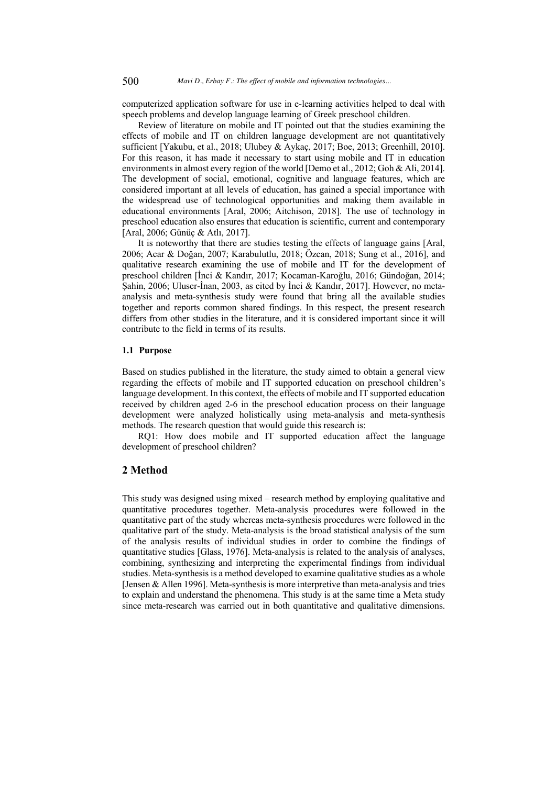computerized application software for use in e-learning activities helped to deal with speech problems and develop language learning of Greek preschool children.

Review of literature on mobile and IT pointed out that the studies examining the effects of mobile and IT on children language development are not quantitatively sufficient [Yakubu, et al., 2018; Ulubey & Aykaç, 2017; Boe, 2013; Greenhill, 2010]. For this reason, it has made it necessary to start using mobile and IT in education environments in almost every region of the world [Demo et al., 2012; Goh & Ali, 2014]. The development of social, emotional, cognitive and language features, which are considered important at all levels of education, has gained a special importance with the widespread use of technological opportunities and making them available in educational environments [Aral, 2006; Aitchison, 2018]. The use of technology in preschool education also ensures that education is scientific, current and contemporary [Aral, 2006; Günüç & Atlı, 2017].

It is noteworthy that there are studies testing the effects of language gains [Aral, 2006; Acar & Doğan, 2007; Karabulutlu, 2018; Özcan, 2018; Sung et al., 2016], and qualitative research examining the use of mobile and IT for the development of preschool children [İnci & Kandır, 2017; Kocaman-Karoğlu, 2016; Gündoğan, 2014; Şahin, 2006; Uluser-İnan, 2003, as cited by İnci & Kandır, 2017]. However, no metaanalysis and meta-synthesis study were found that bring all the available studies together and reports common shared findings. In this respect, the present research differs from other studies in the literature, and it is considered important since it will contribute to the field in terms of its results.

# **1.1 Purpose**

Based on studies published in the literature, the study aimed to obtain a general view regarding the effects of mobile and IT supported education on preschool children's language development. In this context, the effects of mobile and IT supported education received by children aged 2-6 in the preschool education process on their language development were analyzed holistically using meta-analysis and meta-synthesis methods. The research question that would guide this research is:

RQ1: How does mobile and IT supported education affect the language development of preschool children?

# **2 Method**

This study was designed using mixed – research method by employing qualitative and quantitative procedures together. Meta-analysis procedures were followed in the quantitative part of the study whereas meta-synthesis procedures were followed in the qualitative part of the study. Meta-analysis is the broad statistical analysis of the sum of the analysis results of individual studies in order to combine the findings of quantitative studies [Glass, 1976]. Meta-analysis is related to the analysis of analyses, combining, synthesizing and interpreting the experimental findings from individual studies. Meta-synthesis is a method developed to examine qualitative studies as a whole [Jensen & Allen 1996]. Meta-synthesis is more interpretive than meta-analysis and tries to explain and understand the phenomena. This study is at the same time a Meta study since meta-research was carried out in both quantitative and qualitative dimensions.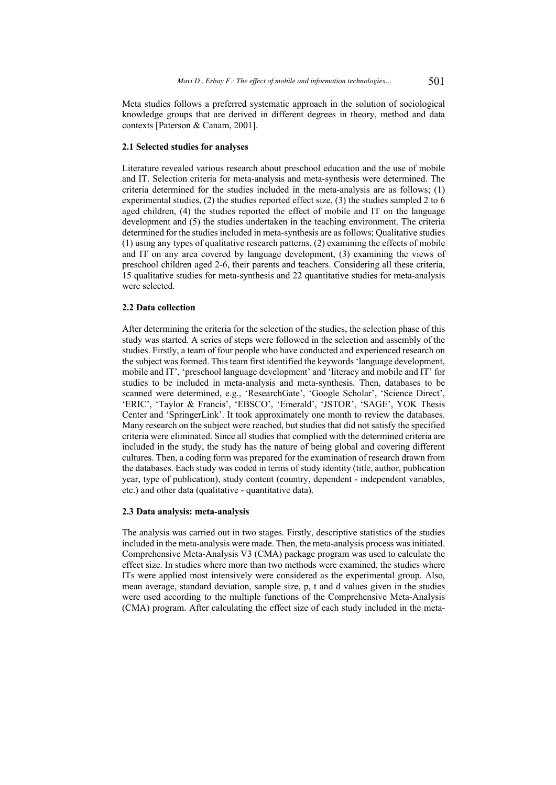Meta studies follows a preferred systematic approach in the solution of sociological knowledge groups that are derived in different degrees in theory, method and data contexts [Paterson & Canam, 2001].

#### **2.1 Selected studies for analyses**

Literature revealed various research about preschool education and the use of mobile and IT. Selection criteria for meta-analysis and meta-synthesis were determined. The criteria determined for the studies included in the meta-analysis are as follows; (1) experimental studies,  $(2)$  the studies reported effect size,  $(3)$  the studies sampled 2 to 6 aged children, (4) the studies reported the effect of mobile and IT on the language development and (5) the studies undertaken in the teaching environment. The criteria determined for the studies included in meta-synthesis are as follows; Qualitative studies (1) using any types of qualitative research patterns, (2) examining the effects of mobile and IT on any area covered by language development, (3) examining the views of preschool children aged 2-6, their parents and teachers. Considering all these criteria, 15 qualitative studies for meta-synthesis and 22 quantitative studies for meta-analysis were selected.

# **2.2 Data collection**

After determining the criteria for the selection of the studies, the selection phase of this study was started. A series of steps were followed in the selection and assembly of the studies. Firstly, a team of four people who have conducted and experienced research on the subject was formed. This team first identified the keywords 'language development, mobile and IT', 'preschool language development' and 'literacy and mobile and IT' for studies to be included in meta-analysis and meta-synthesis. Then, databases to be scanned were determined, e.g., 'ResearchGate', 'Google Scholar', 'Science Direct', 'ERIC', 'Taylor & Francis', 'EBSCO', 'Emerald', 'JSTOR', 'SAGE', YOK Thesis Center and 'SpringerLink'. It took approximately one month to review the databases. Many research on the subject were reached, but studies that did not satisfy the specified criteria were eliminated. Since all studies that complied with the determined criteria are included in the study, the study has the nature of being global and covering different cultures. Then, a coding form was prepared for the examination of research drawn from the databases. Each study was coded in terms of study identity (title, author, publication year, type of publication), study content (country, dependent - independent variables, etc.) and other data (qualitative - quantitative data).

#### **2.3 Data analysis: meta-analysis**

The analysis was carried out in two stages. Firstly, descriptive statistics of the studies included in the meta-analysis were made. Then, the meta-analysis process was initiated. Comprehensive Meta-Analysis V3 (CMA) package program was used to calculate the effect size. In studies where more than two methods were examined, the studies where ITs were applied most intensively were considered as the experimental group. Also, mean average, standard deviation, sample size, p, t and d values given in the studies were used according to the multiple functions of the Comprehensive Meta-Analysis (CMA) program. After calculating the effect size of each study included in the meta-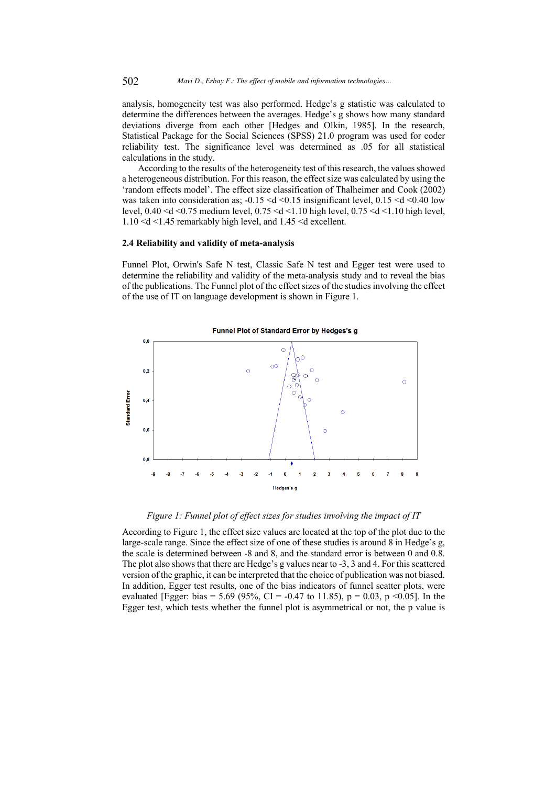analysis, homogeneity test was also performed. Hedge's g statistic was calculated to determine the differences between the averages. Hedge's g shows how many standard deviations diverge from each other [Hedges and Olkin, 1985]. In the research, Statistical Package for the Social Sciences (SPSS) 21.0 program was used for coder reliability test. The significance level was determined as .05 for all statistical calculations in the study.

According to the results of the heterogeneity test of this research, the values showed a heterogeneous distribution. For this reason, the effect size was calculated by using the 'random effects model'. The effect size classification of Thalheimer and Cook (2002) was taken into consideration as;  $-0.15 \le d \le 0.15$  insignificant level,  $0.15 \le d \le 0.40$  low level, 0.40 <d <0.75 medium level, 0.75 <d <1.10 high level, 0.75 <d <1.10 high level, 1.10 <d <1.45 remarkably high level, and 1.45 <d excellent.

#### **2.4 Reliability and validity of meta-analysis**

Funnel Plot, Orwin's Safe N test, Classic Safe N test and Egger test were used to determine the reliability and validity of the meta-analysis study and to reveal the bias of the publications. The Funnel plot of the effect sizes of the studies involving the effect of the use of IT on language development is shown in Figure 1.



*Figure 1: Funnel plot of effect sizes for studies involving the impact of IT*

According to Figure 1, the effect size values are located at the top of the plot due to the large-scale range. Since the effect size of one of these studies is around 8 in Hedge's g, the scale is determined between -8 and 8, and the standard error is between 0 and 0.8. The plot also shows that there are Hedge's g values near to -3, 3 and 4. For this scattered version of the graphic, it can be interpreted that the choice of publication was not biased. In addition, Egger test results, one of the bias indicators of funnel scatter plots, were evaluated [Egger: bias = 5.69 (95%, CI = -0.47 to 11.85),  $p = 0.03$ ,  $p \le 0.05$ ]. In the Egger test, which tests whether the funnel plot is asymmetrical or not, the p value is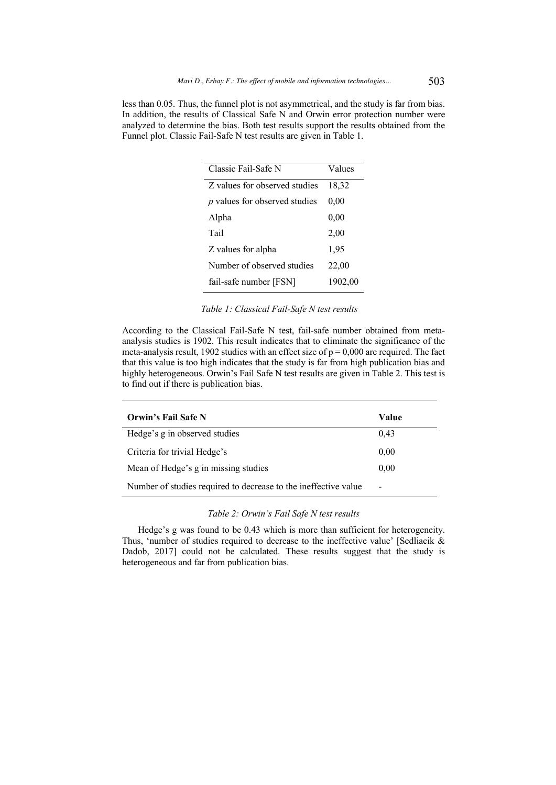less than 0.05. Thus, the funnel plot is not asymmetrical, and the study is far from bias. In addition, the results of Classical Safe N and Orwin error protection number were analyzed to determine the bias. Both test results support the results obtained from the Funnel plot. Classic Fail-Safe N test results are given in Table 1.

| Classic Fail-Safe N                  | Values  |
|--------------------------------------|---------|
| Z values for observed studies        | 18,32   |
| <i>p</i> values for observed studies | 0.00    |
| Alpha                                | 0.00    |
| Tail                                 | 2,00    |
| Z values for alpha                   | 1,95    |
| Number of observed studies           | 22,00   |
| fail-safe number [FSN]               | 1902,00 |
|                                      |         |

 *Table 1: Classical Fail-Safe N test results*

According to the Classical Fail-Safe N test, fail-safe number obtained from metaanalysis studies is 1902. This result indicates that to eliminate the significance of the meta-analysis result, 1902 studies with an effect size of  $p = 0,000$  are required. The fact that this value is too high indicates that the study is far from high publication bias and highly heterogeneous. Orwin's Fail Safe N test results are given in Table 2. This test is to find out if there is publication bias.

| <b>Orwin's Fail Safe N</b>                                      | Value |
|-----------------------------------------------------------------|-------|
| Hedge's g in observed studies                                   | 0.43  |
| Criteria for trivial Hedge's                                    | 0.00  |
| Mean of Hedge's g in missing studies                            | 0.00  |
| Number of studies required to decrease to the ineffective value |       |

# *Table 2: Orwin's Fail Safe N test results*

Hedge's g was found to be 0.43 which is more than sufficient for heterogeneity. Thus, 'number of studies required to decrease to the ineffective value' [Sedliacik & Dadob, 2017] could not be calculated. These results suggest that the study is heterogeneous and far from publication bias.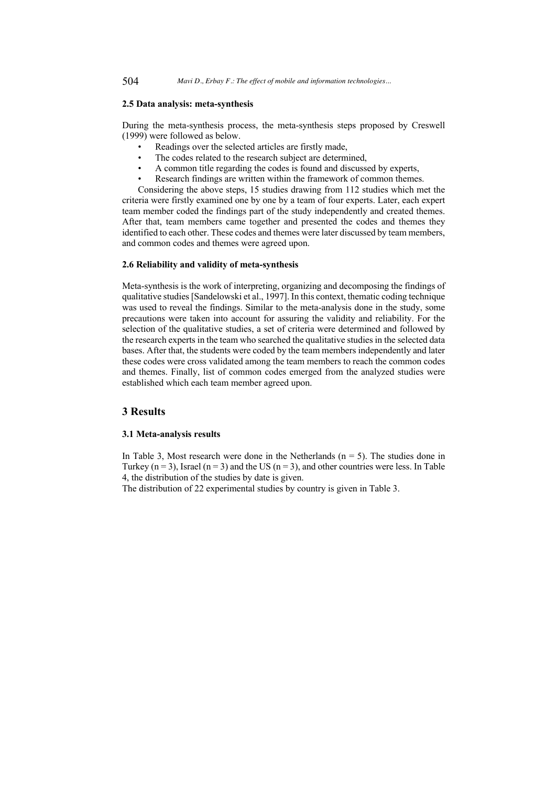#### **2.5 Data analysis: meta-synthesis**

During the meta-synthesis process, the meta-synthesis steps proposed by Creswell (1999) were followed as below.

- Readings over the selected articles are firstly made.
- The codes related to the research subject are determined,
- A common title regarding the codes is found and discussed by experts,
- Research findings are written within the framework of common themes.

Considering the above steps, 15 studies drawing from 112 studies which met the criteria were firstly examined one by one by a team of four experts. Later, each expert team member coded the findings part of the study independently and created themes. After that, team members came together and presented the codes and themes they identified to each other. These codes and themes were later discussed by team members, and common codes and themes were agreed upon.

# **2.6 Reliability and validity of meta-synthesis**

Meta-synthesis is the work of interpreting, organizing and decomposing the findings of qualitative studies [Sandelowski et al., 1997]. In this context, thematic coding technique was used to reveal the findings. Similar to the meta-analysis done in the study, some precautions were taken into account for assuring the validity and reliability. For the selection of the qualitative studies, a set of criteria were determined and followed by the research experts in the team who searched the qualitative studies in the selected data bases. After that, the students were coded by the team members independently and later these codes were cross validated among the team members to reach the common codes and themes. Finally, list of common codes emerged from the analyzed studies were established which each team member agreed upon.

# **3 Results**

### **3.1 Meta-analysis results**

In Table 3, Most research were done in the Netherlands  $(n = 5)$ . The studies done in Turkey ( $n = 3$ ), Israel ( $n = 3$ ) and the US ( $n = 3$ ), and other countries were less. In Table 4, the distribution of the studies by date is given.

The distribution of 22 experimental studies by country is given in Table 3.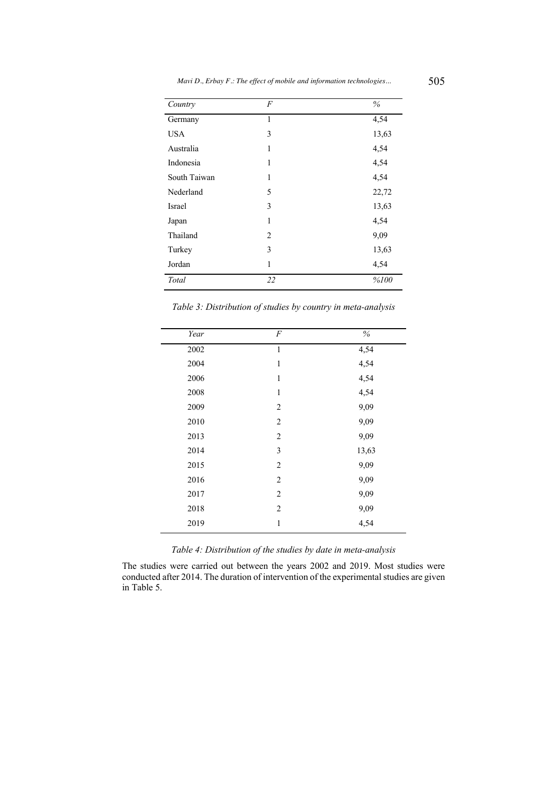| Mavi D., Erbay F.: The effect of mobile and information technologies | 505 |
|----------------------------------------------------------------------|-----|
|----------------------------------------------------------------------|-----|

| Country      | $\overline{F}$ | $\%$  |
|--------------|----------------|-------|
| Germany      | 1              | 4,54  |
| <b>USA</b>   | 3              | 13,63 |
| Australia    | 1              | 4,54  |
| Indonesia    | 1              | 4,54  |
| South Taiwan | 1              | 4,54  |
| Nederland    | 5              | 22,72 |
| Israel       | 3              | 13,63 |
| Japan        | 1              | 4,54  |
| Thailand     | $\overline{2}$ | 9,09  |
| Turkey       | 3              | 13,63 |
| Jordan       | 1              | 4,54  |
| Total        | 22             | %100  |

*Table 3: Distribution of studies by country in meta-analysis*

| Year | $\boldsymbol{F}$ | $\%$  |
|------|------------------|-------|
| 2002 | $\,1\,$          | 4,54  |
| 2004 | $\mathbf{1}$     | 4,54  |
| 2006 | $\mathbf{1}$     | 4,54  |
| 2008 | $\mathbf{1}$     | 4,54  |
| 2009 | $\overline{c}$   | 9,09  |
| 2010 | $\overline{c}$   | 9,09  |
| 2013 | 2                | 9,09  |
| 2014 | 3                | 13,63 |
| 2015 | 2                | 9,09  |
| 2016 | $\overline{2}$   | 9,09  |
| 2017 | $\overline{2}$   | 9,09  |
| 2018 | $\overline{2}$   | 9,09  |
| 2019 | $\,1\,$          | 4,54  |

*Table 4: Distribution of the studies by date in meta-analysis*

The studies were carried out between the years 2002 and 2019. Most studies were conducted after 2014. The duration of intervention of the experimental studies are given in Table 5.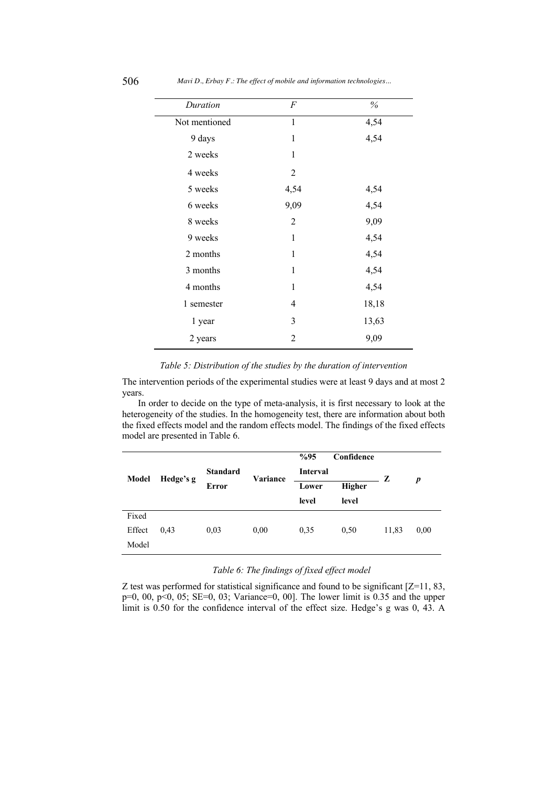| Duration      | $\overline{F}$ | $\%$  |
|---------------|----------------|-------|
| Not mentioned | 1              | 4,54  |
| 9 days        | 1              | 4,54  |
| 2 weeks       | 1              |       |
| 4 weeks       | $\overline{2}$ |       |
| 5 weeks       | 4,54           | 4,54  |
| 6 weeks       | 9,09           | 4,54  |
| 8 weeks       | $\overline{2}$ | 9,09  |
| 9 weeks       | $\mathbf{1}$   | 4,54  |
| 2 months      | 1              | 4,54  |
| 3 months      | 1              | 4,54  |
| 4 months      | 1              | 4,54  |
| 1 semester    | 4              | 18,18 |
| 1 year        | 3              | 13,63 |
| 2 years       | 2              | 9,09  |

### *Table 5: Distribution of the studies by the duration of intervention*

The intervention periods of the experimental studies were at least 9 days and at most 2 years.

In order to decide on the type of meta-analysis, it is first necessary to look at the heterogeneity of the studies. In the homogeneity test, there are information about both the fixed effects model and the random effects model. The findings of the fixed effects model are presented in Table 6.

| <b>Model</b>    | Hedge's g | <b>Standard</b> | <b>Variance</b> | %95<br><b>Interval</b> | Confidence      | z     | $\boldsymbol{p}$ |
|-----------------|-----------|-----------------|-----------------|------------------------|-----------------|-------|------------------|
|                 |           | <b>Error</b>    |                 | Lower<br>level         | Higher<br>level |       |                  |
| Fixed<br>Effect | 0,43      | 0,03            | 0,00            | 0.35                   | 0.50            | 11,83 | 0,00             |
| Model           |           |                 |                 |                        |                 |       |                  |

# *Table 6: The findings of fixed effect model*

Z test was performed for statistical significance and found to be significant  $[Z=11, 83,$ p=0, 00, p<0, 05; SE=0, 03; Variance=0, 00]. The lower limit is 0.35 and the upper limit is 0.50 for the confidence interval of the effect size. Hedge's g was 0, 43. A

L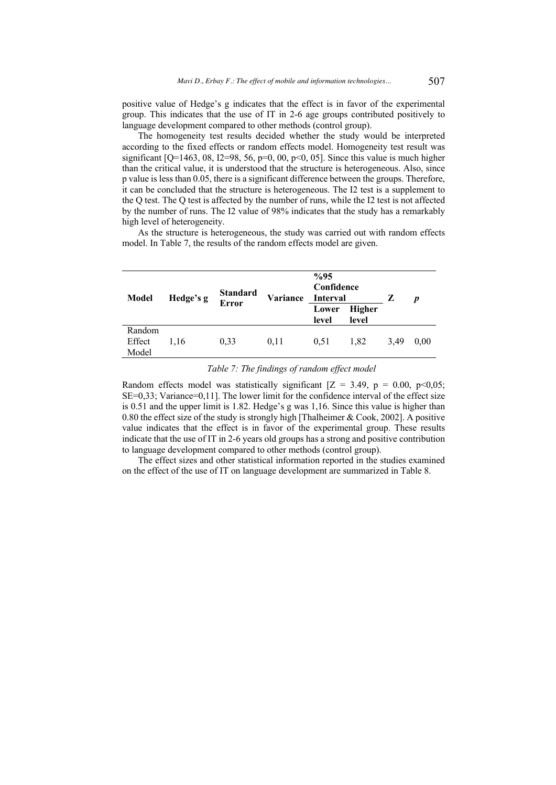positive value of Hedge's g indicates that the effect is in favor of the experimental group. This indicates that the use of IT in 2-6 age groups contributed positively to language development compared to other methods (control group).

The homogeneity test results decided whether the study would be interpreted according to the fixed effects or random effects model. Homogeneity test result was significant  $[Q=1463, 08, 12=98, 56, p=0, 00, p<0, 05]$ . Since this value is much higher than the critical value, it is understood that the structure is heterogeneous. Also, since p value is less than 0.05, there is a significant difference between the groups. Therefore, it can be concluded that the structure is heterogeneous. The I2 test is a supplement to the Q test. The Q test is affected by the number of runs, while the I2 test is not affected by the number of runs. The I2 value of 98% indicates that the study has a remarkably high level of heterogeneity.

As the structure is heterogeneous, the study was carried out with random effects model. In Table 7, the results of the random effects model are given.

| <b>Model</b>              | Hedge's g | <b>Standard</b><br><b>Error</b> | Variance | $\%95$<br>Confidence<br><b>Interval</b> |                        | Z    | D    |
|---------------------------|-----------|---------------------------------|----------|-----------------------------------------|------------------------|------|------|
|                           |           |                                 |          | Lower<br>level                          | <b>Higher</b><br>level |      |      |
| Random<br>Effect<br>Model | 1.16      | 0.33                            | 0.11     | 0.51                                    | 1,82                   | 3.49 | 0.00 |

*Table 7: The findings of random effect model*

Random effects model was statistically significant  $[Z = 3.49, p = 0.00, p<0.05;$ SE=0,33; Variance=0,11]. The lower limit for the confidence interval of the effect size is 0.51 and the upper limit is 1.82. Hedge's g was 1,16. Since this value is higher than 0.80 the effect size of the study is strongly high [Thalheimer & Cook, 2002]. A positive value indicates that the effect is in favor of the experimental group. These results indicate that the use of IT in 2-6 years old groups has a strong and positive contribution to language development compared to other methods (control group).

The effect sizes and other statistical information reported in the studies examined on the effect of the use of IT on language development are summarized in Table 8.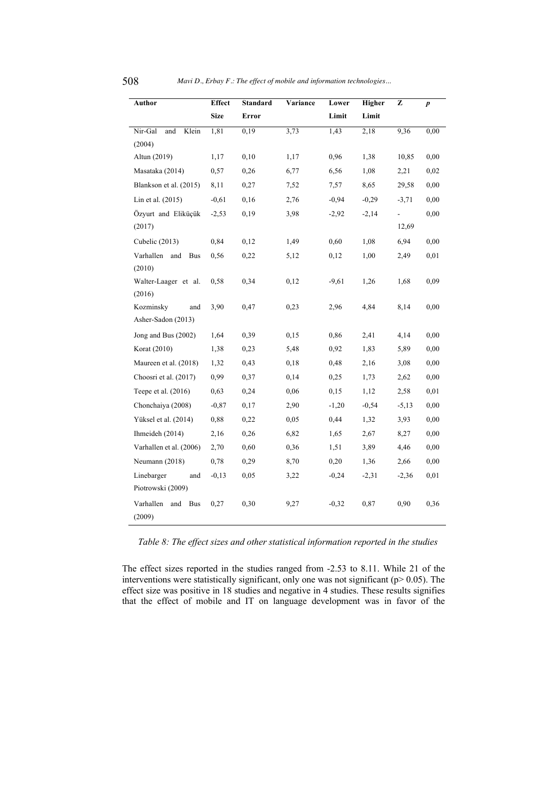| Author                         | <b>Effect</b> | <b>Standard</b> | Variance | Lower   | Higher  | z              | $\boldsymbol{p}$ |
|--------------------------------|---------------|-----------------|----------|---------|---------|----------------|------------------|
|                                | <b>Size</b>   | Error           |          | Limit   | Limit   |                |                  |
| Nir-Gal<br>and<br>Klein        | 1,81          | 0,19            | 3,73     | 1,43    | 2,18    | 9,36           | 0,00             |
| (2004)                         |               |                 |          |         |         |                |                  |
| Altun (2019)                   | 1,17          | 0,10            | 1,17     | 0,96    | 1,38    | 10,85          | 0,00             |
| Masataka (2014)                | 0,57          | 0,26            | 6,77     | 6,56    | 1,08    | 2,21           | 0,02             |
| Blankson et al. (2015)         | 8,11          | 0,27            | 7,52     | 7,57    | 8,65    | 29,58          | 0,00             |
| Lin et al. (2015)              | $-0.61$       | 0,16            | 2,76     | $-0.94$ | $-0,29$ | $-3,71$        | 0,00             |
| Özyurt and Eliküçük            | $-2,53$       | 0,19            | 3,98     | $-2,92$ | $-2,14$ | $\overline{a}$ | 0,00             |
| (2017)                         |               |                 |          |         |         | 12,69          |                  |
| Cubelic (2013)                 | 0,84          | 0,12            | 1,49     | 0,60    | 1,08    | 6,94           | 0,00             |
| Varhallen<br>and<br>Bus        | 0,56          | 0,22            | 5,12     | 0,12    | 1,00    | 2,49           | 0,01             |
| (2010)                         |               |                 |          |         |         |                |                  |
| Walter-Laager et al.           | 0,58          | 0,34            | 0,12     | $-9,61$ | 1,26    | 1,68           | 0,09             |
| (2016)                         |               |                 |          |         |         |                |                  |
| Kozminsky<br>and               | 3,90          | 0,47            | 0,23     | 2,96    | 4,84    | 8,14           | 0,00             |
| Asher-Sadon (2013)             |               |                 |          |         |         |                |                  |
| Jong and Bus (2002)            | 1,64          | 0,39            | 0,15     | 0,86    | 2,41    | 4,14           | 0,00             |
| Korat (2010)                   | 1,38          | 0,23            | 5,48     | 0,92    | 1,83    | 5,89           | 0,00             |
| Maureen et al. (2018)          | 1,32          | 0,43            | 0,18     | 0,48    | 2,16    | 3,08           | 0,00             |
| Choosri et al. (2017)          | 0,99          | 0,37            | 0,14     | 0,25    | 1,73    | 2,62           | 0,00             |
| Teepe et al. (2016)            | 0,63          | 0,24            | 0,06     | 0,15    | 1,12    | 2,58           | 0,01             |
| Chonchaiya (2008)              | $-0,87$       | 0,17            | 2,90     | $-1,20$ | $-0,54$ | $-5,13$        | 0,00             |
| Yüksel et al. (2014)           | 0,88          | 0,22            | 0,05     | 0,44    | 1,32    | 3,93           | 0.00             |
| Ihmeideh (2014)                | 2,16          | 0,26            | 6,82     | 1,65    | 2,67    | 8,27           | 0,00             |
| Varhallen et al. (2006)        | 2,70          | 0,60            | 0,36     | 1,51    | 3,89    | 4,46           | 0,00             |
| Neumann (2018)                 | 0,78          | 0,29            | 8,70     | 0,20    | 1,36    | 2,66           | 0,00             |
| Linebarger<br>and              | $-0,13$       | 0,05            | 3,22     | $-0,24$ | $-2,31$ | $-2,36$        | 0,01             |
| Piotrowski (2009)              |               |                 |          |         |         |                |                  |
| Varhallen<br>and<br><b>Bus</b> | 0,27          | 0,30            | 9,27     | $-0,32$ | 0,87    | 0,90           | 0,36             |
| (2009)                         |               |                 |          |         |         |                |                  |
|                                |               |                 |          |         |         |                |                  |

*Table 8: The effect sizes and other statistical information reported in the studies*

The effect sizes reported in the studies ranged from -2.53 to 8.11. While 21 of the interventions were statistically significant, only one was not significant ( $p$  > 0.05). The effect size was positive in 18 studies and negative in 4 studies. These results signifies that the effect of mobile and IT on language development was in favor of the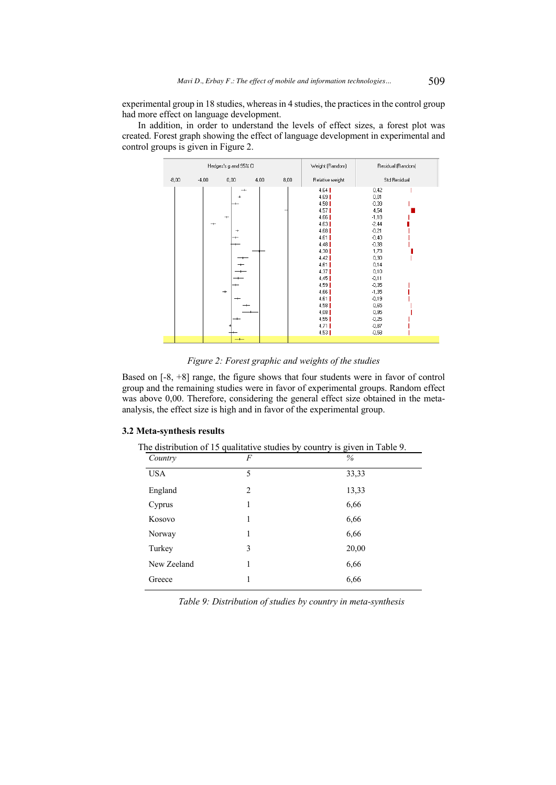experimental group in 18 studies, whereas in 4 studies, the practices in the control group had more effect on language development.

In addition, in order to understand the levels of effect sizes, a forest plot was created. Forest graph showing the effect of language development in experimental and control groups is given in Figure 2.



*Figure 2: Forest graphic and weights of the studies*

Based on [-8, +8] range, the figure shows that four students were in favor of control group and the remaining studies were in favor of experimental groups. Random effect was above 0,00. Therefore, considering the general effect size obtained in the metaanalysis, the effect size is high and in favor of the experimental group.

#### **3.2 Meta-synthesis results**

| Country     | F | $\%$  |
|-------------|---|-------|
| <b>USA</b>  | 5 | 33,33 |
| England     | 2 | 13,33 |
| Cyprus      | 1 | 6,66  |
| Kosovo      | 1 | 6,66  |
| Norway      | 1 | 6,66  |
| Turkey      | 3 | 20,00 |
| New Zeeland | 1 | 6,66  |
| Greece      | 1 | 6,66  |

The distribution of 15 qualitative studies by country is given in Table 9.

*Table 9: Distribution of studies by country in meta-synthesis*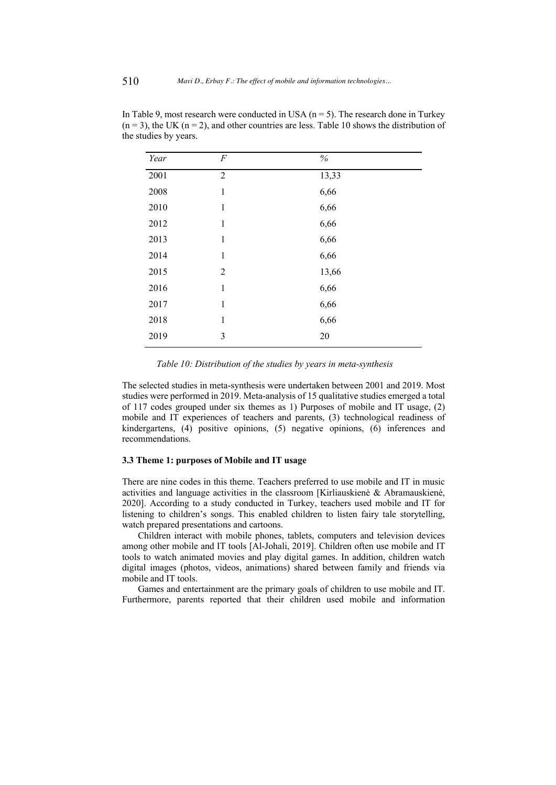| Year | F              | $\%$  |
|------|----------------|-------|
| 2001 | $\overline{2}$ | 13,33 |
| 2008 | $\mathbf 1$    | 6,66  |
| 2010 | $\,1$          | 6,66  |
| 2012 | $\,1$          | 6,66  |
| 2013 | $\mathbf{1}$   | 6,66  |
| 2014 | $\mathbf{1}$   | 6,66  |
| 2015 | $\overline{2}$ | 13,66 |
| 2016 | $\mathbf 1$    | 6,66  |
| 2017 | $\mathbf{1}$   | 6,66  |
| 2018 | $\mathbf{1}$   | 6,66  |
| 2019 | 3              | 20    |

In Table 9, most research were conducted in USA  $(n = 5)$ . The research done in Turkey  $(n=3)$ , the UK  $(n=2)$ , and other countries are less. Table 10 shows the distribution of the studies by years.

 *Table 10: Distribution of the studies by years in meta-synthesis*

The selected studies in meta-synthesis were undertaken between 2001 and 2019. Most studies were performed in 2019. Meta-analysis of 15 qualitative studies emerged a total of 117 codes grouped under six themes as 1) Purposes of mobile and IT usage, (2) mobile and IT experiences of teachers and parents, (3) technological readiness of kindergartens,  $(4)$  positive opinions,  $(5)$  negative opinions,  $(6)$  inferences and recommendations.

#### **3.3 Theme 1: purposes of Mobile and IT usage**

There are nine codes in this theme. Teachers preferred to use mobile and IT in music activities and language activities in the classroom [Kirliauskienė & Abramauskienė, 2020]. According to a study conducted in Turkey, teachers used mobile and IT for listening to children's songs. This enabled children to listen fairy tale storytelling, watch prepared presentations and cartoons.

Children interact with mobile phones, tablets, computers and television devices among other mobile and IT tools [Al-Johali, 2019]. Children often use mobile and IT tools to watch animated movies and play digital games. In addition, children watch digital images (photos, videos, animations) shared between family and friends via mobile and IT tools.

Games and entertainment are the primary goals of children to use mobile and IT. Furthermore, parents reported that their children used mobile and information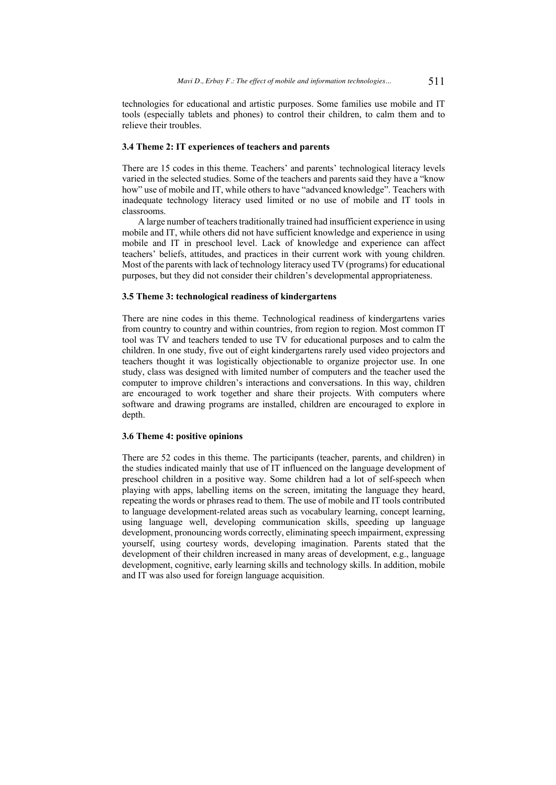technologies for educational and artistic purposes. Some families use mobile and IT tools (especially tablets and phones) to control their children, to calm them and to relieve their troubles.

#### **3.4 Theme 2: IT experiences of teachers and parents**

There are 15 codes in this theme. Teachers' and parents' technological literacy levels varied in the selected studies. Some of the teachers and parents said they have a "know how" use of mobile and IT, while others to have "advanced knowledge". Teachers with inadequate technology literacy used limited or no use of mobile and IT tools in classrooms.

A large number of teachers traditionally trained had insufficient experience in using mobile and IT, while others did not have sufficient knowledge and experience in using mobile and IT in preschool level. Lack of knowledge and experience can affect teachers' beliefs, attitudes, and practices in their current work with young children. Most of the parents with lack of technology literacy used TV (programs) for educational purposes, but they did not consider their children's developmental appropriateness.

#### **3.5 Theme 3: technological readiness of kindergartens**

There are nine codes in this theme. Technological readiness of kindergartens varies from country to country and within countries, from region to region. Most common IT tool was TV and teachers tended to use TV for educational purposes and to calm the children. In one study, five out of eight kindergartens rarely used video projectors and teachers thought it was logistically objectionable to organize projector use. In one study, class was designed with limited number of computers and the teacher used the computer to improve children's interactions and conversations. In this way, children are encouraged to work together and share their projects. With computers where software and drawing programs are installed, children are encouraged to explore in depth.

### **3.6 Theme 4: positive opinions**

There are 52 codes in this theme. The participants (teacher, parents, and children) in the studies indicated mainly that use of IT influenced on the language development of preschool children in a positive way. Some children had a lot of self-speech when playing with apps, labelling items on the screen, imitating the language they heard, repeating the words or phrases read to them. The use of mobile and IT tools contributed to language development-related areas such as vocabulary learning, concept learning, using language well, developing communication skills, speeding up language development, pronouncing words correctly, eliminating speech impairment, expressing yourself, using courtesy words, developing imagination. Parents stated that the development of their children increased in many areas of development, e.g., language development, cognitive, early learning skills and technology skills. In addition, mobile and IT was also used for foreign language acquisition.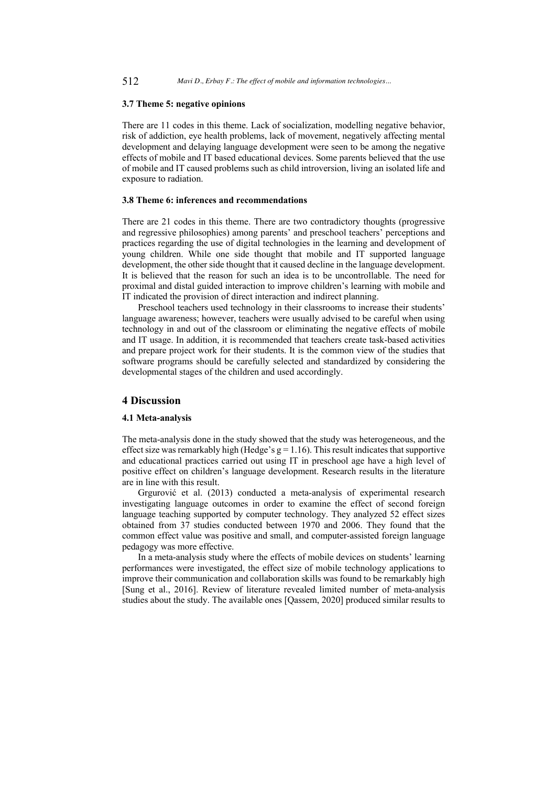# **3.7 Theme 5: negative opinions**

There are 11 codes in this theme. Lack of socialization, modelling negative behavior, risk of addiction, eye health problems, lack of movement, negatively affecting mental development and delaying language development were seen to be among the negative effects of mobile and IT based educational devices. Some parents believed that the use of mobile and IT caused problems such as child introversion, living an isolated life and exposure to radiation.

#### **3.8 Theme 6: inferences and recommendations**

There are 21 codes in this theme. There are two contradictory thoughts (progressive and regressive philosophies) among parents' and preschool teachers' perceptions and practices regarding the use of digital technologies in the learning and development of young children. While one side thought that mobile and IT supported language development, the other side thought that it caused decline in the language development. It is believed that the reason for such an idea is to be uncontrollable. The need for proximal and distal guided interaction to improve children's learning with mobile and IT indicated the provision of direct interaction and indirect planning.

Preschool teachers used technology in their classrooms to increase their students' language awareness; however, teachers were usually advised to be careful when using technology in and out of the classroom or eliminating the negative effects of mobile and IT usage. In addition, it is recommended that teachers create task-based activities and prepare project work for their students. It is the common view of the studies that software programs should be carefully selected and standardized by considering the developmental stages of the children and used accordingly.

#### **4 Discussion**

#### **4.1 Meta-analysis**

The meta-analysis done in the study showed that the study was heterogeneous, and the effect size was remarkably high (Hedge's  $g = 1.16$ ). This result indicates that supportive and educational practices carried out using IT in preschool age have a high level of positive effect on children's language development. Research results in the literature are in line with this result.

Grgurović et al. (2013) conducted a meta-analysis of experimental research investigating language outcomes in order to examine the effect of second foreign language teaching supported by computer technology. They analyzed 52 effect sizes obtained from 37 studies conducted between 1970 and 2006. They found that the common effect value was positive and small, and computer-assisted foreign language pedagogy was more effective.

In a meta-analysis study where the effects of mobile devices on students' learning performances were investigated, the effect size of mobile technology applications to improve their communication and collaboration skills was found to be remarkably high [Sung et al., 2016]. Review of literature revealed limited number of meta-analysis studies about the study. The available ones [Qassem, 2020] produced similar results to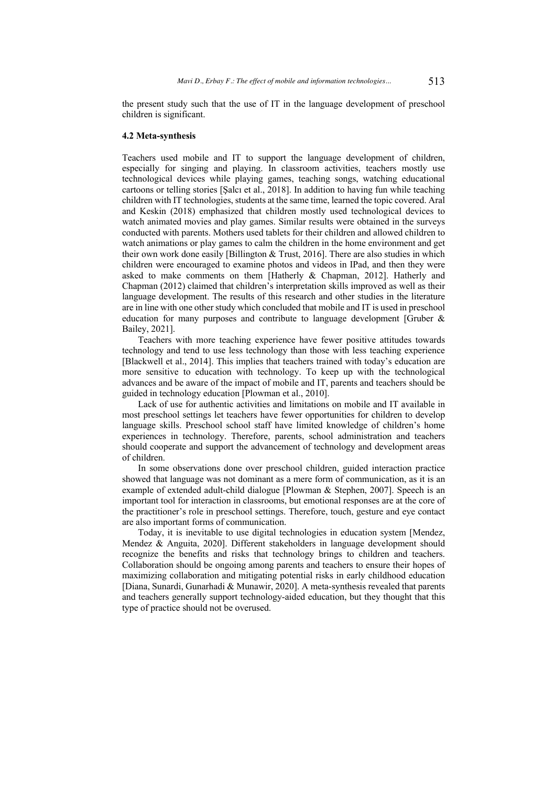the present study such that the use of IT in the language development of preschool children is significant.

#### **4.2 Meta-synthesis**

Teachers used mobile and IT to support the language development of children, especially for singing and playing. In classroom activities, teachers mostly use technological devices while playing games, teaching songs, watching educational cartoons or telling stories [Şalcı et al., 2018]. In addition to having fun while teaching children with IT technologies, students at the same time, learned the topic covered. Aral and Keskin (2018) emphasized that children mostly used technological devices to watch animated movies and play games. Similar results were obtained in the surveys conducted with parents. Mothers used tablets for their children and allowed children to watch animations or play games to calm the children in the home environment and get their own work done easily [Billington & Trust, 2016]. There are also studies in which children were encouraged to examine photos and videos in IPad, and then they were asked to make comments on them [Hatherly & Chapman, 2012]. Hatherly and Chapman (2012) claimed that children's interpretation skills improved as well as their language development. The results of this research and other studies in the literature are in line with one other study which concluded that mobile and IT is used in preschool education for many purposes and contribute to language development [Gruber & Bailey, 2021].

Teachers with more teaching experience have fewer positive attitudes towards technology and tend to use less technology than those with less teaching experience [Blackwell et al., 2014]. This implies that teachers trained with today's education are more sensitive to education with technology. To keep up with the technological advances and be aware of the impact of mobile and IT, parents and teachers should be guided in technology education [Plowman et al., 2010].

Lack of use for authentic activities and limitations on mobile and IT available in most preschool settings let teachers have fewer opportunities for children to develop language skills. Preschool school staff have limited knowledge of children's home experiences in technology. Therefore, parents, school administration and teachers should cooperate and support the advancement of technology and development areas of children.

In some observations done over preschool children, guided interaction practice showed that language was not dominant as a mere form of communication, as it is an example of extended adult-child dialogue [Plowman & Stephen, 2007]. Speech is an important tool for interaction in classrooms, but emotional responses are at the core of the practitioner's role in preschool settings. Therefore, touch, gesture and eye contact are also important forms of communication.

Today, it is inevitable to use digital technologies in education system [Mendez, Mendez & Anguita, 2020]. Different stakeholders in language development should recognize the benefits and risks that technology brings to children and teachers. Collaboration should be ongoing among parents and teachers to ensure their hopes of maximizing collaboration and mitigating potential risks in early childhood education [Diana, Sunardi, Gunarhadi & Munawir, 2020]. A meta-synthesis revealed that parents and teachers generally support technology-aided education, but they thought that this type of practice should not be overused.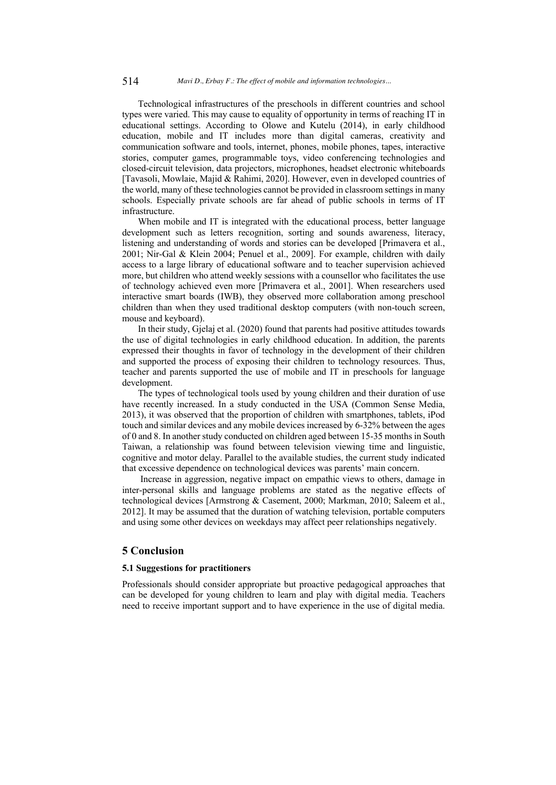Technological infrastructures of the preschools in different countries and school types were varied. This may cause to equality of opportunity in terms of reaching IT in educational settings. According to Olowe and Kutelu (2014), in early childhood education, mobile and IT includes more than digital cameras, creativity and communication software and tools, internet, phones, mobile phones, tapes, interactive stories, computer games, programmable toys, video conferencing technologies and closed-circuit television, data projectors, microphones, headset electronic whiteboards [Tavasoli, Mowlaie, Majid & Rahimi, 2020]. However, even in developed countries of the world, many of these technologies cannot be provided in classroom settings in many schools. Especially private schools are far ahead of public schools in terms of IT infrastructure.

When mobile and IT is integrated with the educational process, better language development such as letters recognition, sorting and sounds awareness, literacy, listening and understanding of words and stories can be developed [Primavera et al., 2001; Nir-Gal & Klein 2004; Penuel et al., 2009]. For example, children with daily access to a large library of educational software and to teacher supervision achieved more, but children who attend weekly sessions with a counsellor who facilitates the use of technology achieved even more [Primavera et al., 2001]. When researchers used interactive smart boards (IWB), they observed more collaboration among preschool children than when they used traditional desktop computers (with non-touch screen, mouse and keyboard).

In their study, Gjelaj et al. (2020) found that parents had positive attitudes towards the use of digital technologies in early childhood education. In addition, the parents expressed their thoughts in favor of technology in the development of their children and supported the process of exposing their children to technology resources. Thus, teacher and parents supported the use of mobile and IT in preschools for language development.

The types of technological tools used by young children and their duration of use have recently increased. In a study conducted in the USA (Common Sense Media, 2013), it was observed that the proportion of children with smartphones, tablets, iPod touch and similar devices and any mobile devices increased by 6-32% between the ages of 0 and 8. In another study conducted on children aged between 15-35 months in South Taiwan, a relationship was found between television viewing time and linguistic, cognitive and motor delay. Parallel to the available studies, the current study indicated that excessive dependence on technological devices was parents' main concern.

Increase in aggression, negative impact on empathic views to others, damage in inter-personal skills and language problems are stated as the negative effects of technological devices [Armstrong & Casement, 2000; Markman, 2010; Saleem et al., 2012]. It may be assumed that the duration of watching television, portable computers and using some other devices on weekdays may affect peer relationships negatively.

# **5 Conclusion**

# **5.1 Suggestions for practitioners**

Professionals should consider appropriate but proactive pedagogical approaches that can be developed for young children to learn and play with digital media. Teachers need to receive important support and to have experience in the use of digital media.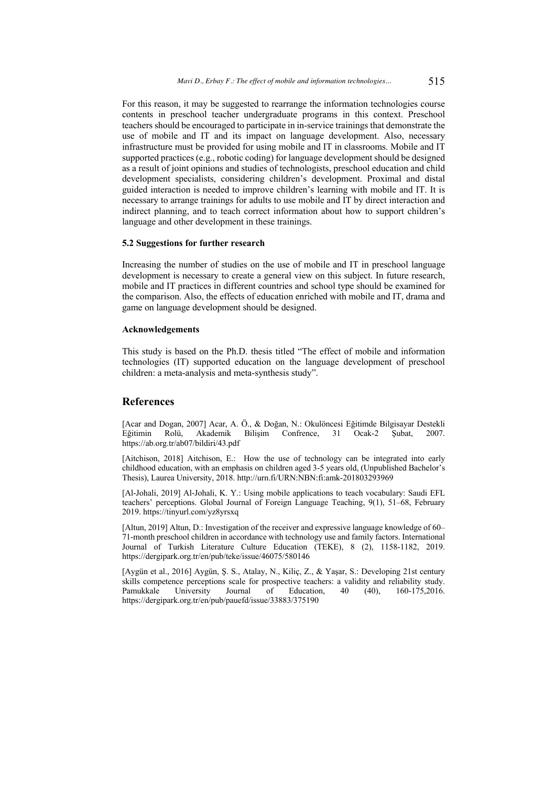For this reason, it may be suggested to rearrange the information technologies course contents in preschool teacher undergraduate programs in this context. Preschool teachers should be encouraged to participate in in-service trainings that demonstrate the use of mobile and IT and its impact on language development. Also, necessary infrastructure must be provided for using mobile and IT in classrooms. Mobile and IT supported practices (e.g., robotic coding) for language development should be designed as a result of joint opinions and studies of technologists, preschool education and child development specialists, considering children's development. Proximal and distal guided interaction is needed to improve children's learning with mobile and IT. It is necessary to arrange trainings for adults to use mobile and IT by direct interaction and indirect planning, and to teach correct information about how to support children's language and other development in these trainings.

#### **5.2 Suggestions for further research**

Increasing the number of studies on the use of mobile and IT in preschool language development is necessary to create a general view on this subject. In future research, mobile and IT practices in different countries and school type should be examined for the comparison. Also, the effects of education enriched with mobile and IT, drama and game on language development should be designed.

#### **Acknowledgements**

This study is based on the Ph.D. thesis titled "The effect of mobile and information technologies (IT) supported education on the language development of preschool children: a meta-analysis and meta-synthesis study".

# **References**

[Acar and Dogan, 2007] Acar, A. Ö., & Doğan, N.: Okulöncesi Eğitimde Bilgisayar Destekli Eğitimin Rolü, Akademik Bilişim Confrence, 31 Ocak-2 Şubat, 2007. https://ab.org.tr/ab07/bildiri/43.pdf

[Aitchison, 2018] Aitchison, E.: How the use of technology can be integrated into early childhood education, with an emphasis on children aged 3-5 years old, (Unpublished Bachelor's Thesis), Laurea University, 2018. http://urn.fi/URN:NBN:fi:amk-201803293969

[Al-Johali, 2019] Al-Johali, K. Y.: Using mobile applications to teach vocabulary: Saudi EFL teachers' perceptions. Global Journal of Foreign Language Teaching, 9(1), 51–68, February 2019. https://tinyurl.com/yz8yrsxq

[Altun, 2019] Altun, D.: Investigation of the receiver and expressive language knowledge of 60– 71-month preschool children in accordance with technology use and family factors. International Journal of Turkish Literature Culture Education (TEKE), 8 (2), 1158-1182, 2019. https://dergipark.org.tr/en/pub/teke/issue/46075/580146

[Aygün et al., 2016] Aygün, Ş. S., Atalay, N., Kiliç, Z., & Yaşar, S.: Developing 21st century skills competence perceptions scale for prospective teachers: a validity and reliability study. Pamukkale University Journal of Education, 40 (40), 160-175,2016. https://dergipark.org.tr/en/pub/pauefd/issue/33883/375190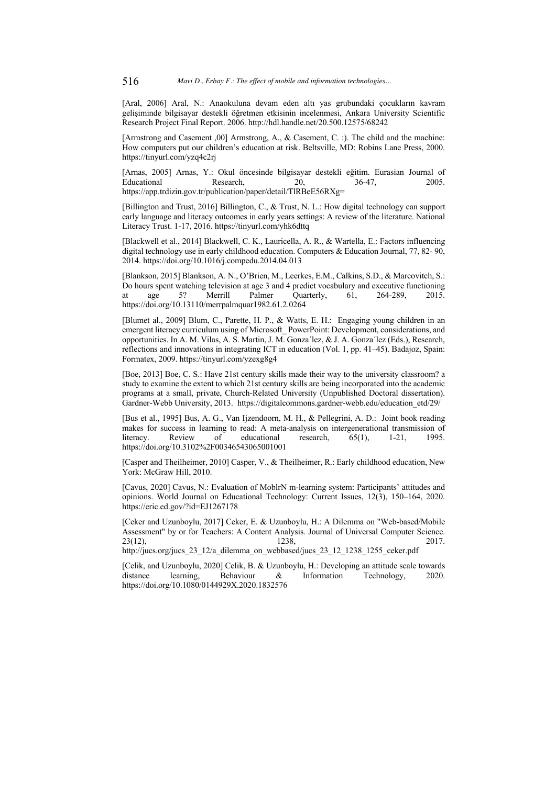[Aral, 2006] Aral, N.: Anaokuluna devam eden altı yas grubundaki çocukların kavram gelişiminde bilgisayar destekli öğretmen etkisinin incelenmesi, Ankara University Scientific Research Project Final Report. 2006. http://hdl.handle.net/20.500.12575/68242

[Armstrong and Casement ,00] Armstrong, A., & Casement, C. :). The child and the machine: How computers put our children's education at risk. Beltsville, MD: Robins Lane Press, 2000. https://tinyurl.com/yzq4c2rj

[Arnas, 2005] Arnas, Y.: Okul öncesinde bilgisayar destekli eğitim. Eurasian Journal of Educational Research, 20, 36-47, 2005. https://app.trdizin.gov.tr/publication/paper/detail/TlRBeE56RXg=

[Billington and Trust, 2016] Billington, C., & Trust, N. L.: How digital technology can support early language and literacy outcomes in early years settings: A review of the literature. National Literacy Trust. 1-17, 2016. https://tinyurl.com/yhk6dttq

[Blackwell et al., 2014] Blackwell, C. K., Lauricella, A. R., & Wartella, E.: Factors influencing digital technology use in early childhood education. Computers & Education Journal, 77, 82- 90, 2014. https://doi.org/10.1016/j.compedu.2014.04.013

[Blankson, 2015] Blankson, A. N., O'Brien, M., Leerkes, E.M., Calkins, S.D., & Marcovitch, S.: Do hours spent watching television at age 3 and 4 predict vocabulary and executive functioning at age 5? Merrill Palmer Quarterly, 61, 264-289, 2015. https://doi.org/10.13110/merrpalmquar1982.61.2.0264

[Blumet al., 2009] Blum, C., Parette, H. P., & Watts, E. H.: Engaging young children in an emergent literacy curriculum using of Microsoft\_ PowerPoint: Development, considerations, and opportunities. In A. M. Vilas, A. S. Martin, J. M. Gonza´lez, & J. A. Gonza´lez (Eds.), Research, reflections and innovations in integrating ICT in education (Vol. 1, pp. 41–45). Badajoz, Spain: Formatex, 2009. https://tinyurl.com/yzexg8g4

[Boe, 2013] Boe, C. S.: Have 21st century skills made their way to the university classroom? a study to examine the extent to which 21st century skills are being incorporated into the academic programs at a small, private, Church-Related University (Unpublished Doctoral dissertation). Gardner-Webb University, 2013. https://digitalcommons.gardner-webb.edu/education\_etd/29/

[Bus et al., 1995] Bus, A. G., Van Ijzendoorn, M. H., & Pellegrini, A. D.: Joint book reading makes for success in learning to read: A meta-analysis on intergenerational transmission of literacy. Review of educational research, 65(1), 1-21, 1995. literacy. Review of educational research, 65(1), 1-21, 1995. https://doi.org/10.3102%2F00346543065001001

[Casper and Theilheimer, 2010] Casper, V., & Theilheimer, R.: Early childhood education, New York: McGraw Hill, 2010.

[Cavus, 2020] Cavus, N.: Evaluation of MoblrN m-learning system: Participants' attitudes and opinions. World Journal on Educational Technology: Current Issues, 12(3), 150–164, 2020. https://eric.ed.gov/?id=EJ1267178

[Ceker and Uzunboylu, 2017] Ceker, E. & Uzunboylu, H.: A Dilemma on "Web-based/Mobile Assessment" by or for Teachers: A Content Analysis. Journal of Universal Computer Science.  $23(12)$ ,  $1238$ ,  $2017$ . http://jucs.org/jucs 23\_12/a\_dilemma\_on\_webbased/jucs\_23\_12\_1238\_1255\_ceker.pdf

[Celik, and Uzunboylu, 2020] Celik, B. & Uzunboylu, H.: Developing an attitude scale towards distance learning, Behaviour & Information Technology, 2020.

https://doi.org/10.1080/0144929X.2020.1832576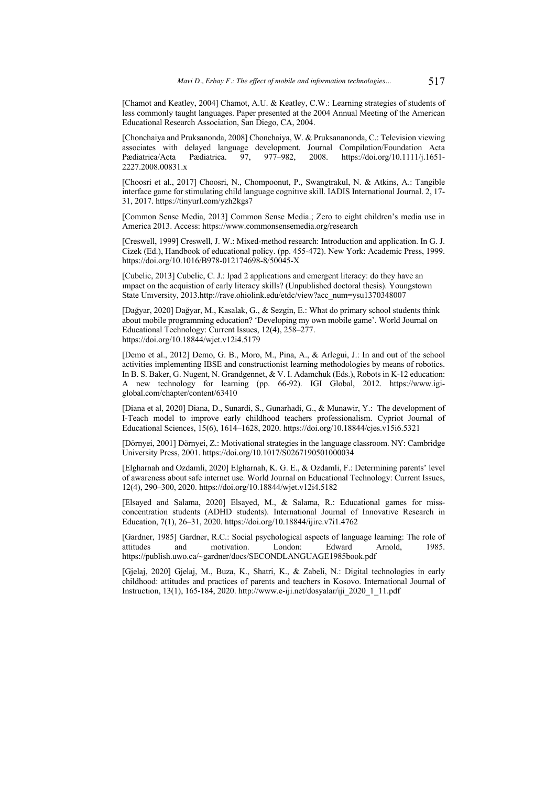[Chamot and Keatley, 2004] Chamot, A.U. & Keatley, C.W.: Learning strategies of students of less commonly taught languages. Paper presented at the 2004 Annual Meeting of the American Educational Research Association, San Diego, CA, 2004.

[Chonchaiya and Pruksanonda, 2008] Chonchaiya, W. & Pruksananonda, C.: Television viewing associates with delayed language development. Journal Compilation/Foundation Acta<br>Pædiatrica/Acta Pædiatrica. 97, 977–982, 2008. https://doi.org/10.1111/j.1651-Pædiatrica/Acta Pædiatrica. 97, 977–982, 2008. https://doi.org/10.1111/j.1651- 2227.2008.00831.x

[Choosri et al., 2017] Choosri, N., Chompoonut, P., Swangtrakul, N. & Atkins, A.: Tangible interface game for stimulating child language cognitıve skill. IADIS International Journal. 2, 17- 31, 2017. https://tinyurl.com/yzh2kgs7

[Common Sense Media, 2013] Common Sense Media.; Zero to eight children's media use in America 2013. Access: https://www.commonsensemedia.org/research

[Creswell, 1999] Creswell, J. W.: Mixed-method research: Introduction and application. In G. J. Cizek (Ed.), Handbook of educational policy. (pp. 455-472). New York: Academic Press, 1999. https://doi.org/10.1016/B978-012174698-8/50045-X

[Cubelic, 2013] Cubelic, C. J.: Ipad 2 applications and emergent literacy: do they have an ımpact on the acquistion of early literacy skills? (Unpublished doctoral thesis). Youngstown State Unıversity, 2013.http://rave.ohiolink.edu/etdc/view?acc\_num=ysu1370348007

[Dağyar, 2020] Dağyar, M., Kasalak, G., & Sezgin, E.: What do primary school students think about mobile programming education? 'Developing my own mobile game'. World Journal on Educational Technology: Current Issues, 12(4), 258–277. https://doi.org/10.18844/wjet.v12i4.5179

[Demo et al., 2012] Demo, G. B., Moro, M., Pina, A., & Arlegui, J.: In and out of the school activities implementing IBSE and constructionist learning methodologies by means of robotics. In B. S. Baker, G. Nugent, N. Grandgennet, & V. I. Adamchuk (Eds.), Robots in K-12 education: A new technology for learning (pp. 66-92). IGI Global, 2012. https://www.igiglobal.com/chapter/content/63410

[Diana et al, 2020] Diana, D., Sunardi, S., Gunarhadi, G., & Munawir, Y.: The development of I-Teach model to improve early childhood teachers professionalism. Cypriot Journal of Educational Sciences, 15(6), 1614–1628, 2020. https://doi.org/10.18844/cjes.v15i6.5321

[Dörnyei, 2001] Dörnyei, Z.: Motivational strategies in the language classroom. NY: Cambridge University Press, 2001. https://doi.org/10.1017/S0267190501000034

[Elgharnah and Ozdamli, 2020] Elgharnah, K. G. E., & Ozdamli, F.: Determining parents' level of awareness about safe internet use. World Journal on Educational Technology: Current Issues, 12(4), 290–300, 2020. https://doi.org/10.18844/wjet.v12i4.5182

[Elsayed and Salama, 2020] Elsayed, M., & Salama, R.: Educational games for missconcentration students (ADHD students). International Journal of Innovative Research in Education, 7(1), 26–31, 2020. https://doi.org/10.18844/ijire.v7i1.4762

[Gardner, 1985] Gardner, R.C.: Social psychological aspects of language learning: The role of attitudes and motivation. London: Edward Arnold, 1985. https://publish.uwo.ca/~gardner/docs/SECONDLANGUAGE1985book.pdf

[Gjelaj, 2020] Gjelaj, M., Buza, K., Shatri, K., & Zabeli, N.: Digital technologies in early childhood: attitudes and practices of parents and teachers in Kosovo. International Journal of Instruction, 13(1), 165-184, 2020. http://www.e-iji.net/dosyalar/iji\_2020\_1\_11.pdf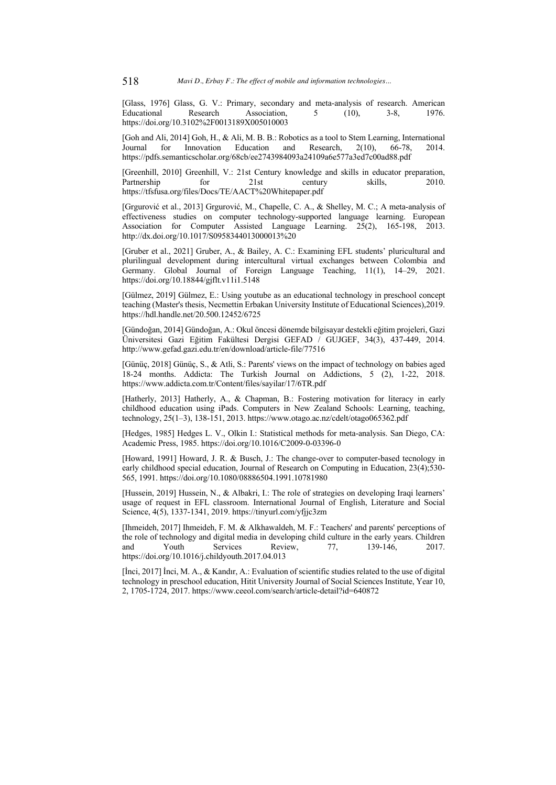[Glass, 1976] Glass, G. V.: Primary, secondary and meta-analysis of research. American Educational Research Association, 5 (10), 3-8, 1976. https://doi.org/10.3102%2F0013189X005010003

[Goh and Ali, 2014] Goh, H., & Ali, M. B. B.: Robotics as a tool to Stem Learning, International Journal for Innovation Education and Research, 2(10), 66-78, 2014. https://pdfs.semanticscholar.org/68cb/ee2743984093a24109a6e577a3ed7c00ad88.pdf

[Greenhill, 2010] Greenhill, V.: 21st Century knowledge and skills in educator preparation, Partnership for 21st century skills, 2010. https://tfsfusa.org/files/Docs/TE/AACT%20Whitepaper.pdf

[Grgurović et al., 2013] Grgurović, M., Chapelle, C. A., & Shelley, M. C.; A meta-analysis of effectiveness studies on computer technology-supported language learning. European Association for Computer Assisted Language Learning. 25(2), 165-198, 2013. http://dx.doi.org/10.1017/S0958344013000013%20

[Gruber et al., 2021] Gruber, A., & Bailey, A. C.: Examining EFL students' pluricultural and plurilingual development during intercultural virtual exchanges between Colombia and Germany. Global Journal of Foreign Language Teaching, 11(1), 14–29, 2021. https://doi.org/10.18844/gjflt.v11i1.5148

[Gülmez, 2019] Gülmez, E.: Using youtube as an educational technology in preschool concept teaching (Master's thesis, Necmettin Erbakan University Institute of Educational Sciences),2019. https://hdl.handle.net/20.500.12452/6725

[Gündoğan, 2014] Gündoğan, A.: Okul öncesi dönemde bilgisayar destekli eğitim projeleri, Gazi Üniversitesi Gazi Eğitim Fakültesi Dergisi GEFAD / GUJGEF, 34(3), 437-449, 2014. http://www.gefad.gazi.edu.tr/en/download/article-file/77516

[Günüç, 2018] Günüç, S., & Atli, S.: Parents' views on the impact of technology on babies aged 18-24 months. Addicta: The Turkish Journal on Addictions, 5 (2), 1-22, 2018. https://www.addicta.com.tr/Content/files/sayilar/17/6TR.pdf

[Hatherly, 2013] Hatherly, A., & Chapman, B.: Fostering motivation for literacy in early childhood education using iPads. Computers in New Zealand Schools: Learning, teaching, technology, 25(1–3), 138-151, 2013. https://www.otago.ac.nz/cdelt/otago065362.pdf

[Hedges, 1985] Hedges L. V., Olkin I.: Statistical methods for meta-analysis. San Diego, CA: Academic Press, 1985. https://doi.org/10.1016/C2009-0-03396-0

[Howard, 1991] Howard, J. R. & Busch, J.: The change-over to computer-based tecnology in early childhood special education, Journal of Research on Computing in Education, 23(4);530-565, 1991. https://doi.org/10.1080/08886504.1991.10781980

[Hussein, 2019] Hussein, N., & Albakri, I.: The role of strategies on developing Iraqi learners' usage of request in EFL classroom. International Journal of English, Literature and Social Science, 4(5), 1337-1341, 2019. https://tinyurl.com/yfjjc3zm

[Ihmeideh, 2017] Ihmeideh, F. M. & Alkhawaldeh, M. F.: Teachers' and parents' perceptions of the role of technology and digital media in developing child culture in the early years. Children and Youth Services Review, 77, 139-146, 2017. https://doi.org/10.1016/j.childyouth.2017.04.013

[İnci, 2017] İnci, M. A., & Kandır, A.: Evaluation of scientific studies related to the use of digital technology in preschool education, Hitit University Journal of Social Sciences Institute, Year 10, 2, 1705-1724, 2017. https://www.ceeol.com/search/article-detail?id=640872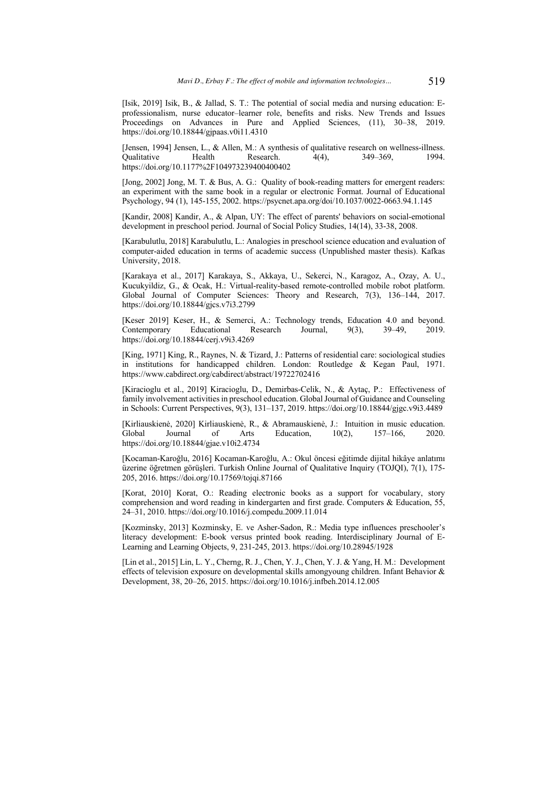[Isik, 2019] Isik, B., & Jallad, S. T.: The potential of social media and nursing education: Eprofessionalism, nurse educator–learner role, benefits and risks. New Trends and Issues Proceedings on Advances in Pure and Applied Sciences, (11), 30–38, 2019. https://doi.org/10.18844/gjpaas.v0i11.4310

[Jensen, 1994] Jensen, L., & Allen, M.: A synthesis of qualitative research on wellness-illness. Qualitative Health Research. 4(4), 349–369, 1994. https://doi.org/10.1177%2F104973239400400402

[Jong, 2002] Jong, M. T. & Bus, A. G.: Quality of book-reading matters for emergent readers: an experiment with the same book in a regular or electronic Format. Journal of Educational Psychology, 94 (1), 145-155, 2002. https://psycnet.apa.org/doi/10.1037/0022-0663.94.1.145

[Kandir, 2008] Kandir, A., & Alpan, UY: The effect of parents' behaviors on social-emotional development in preschool period. Journal of Social Policy Studies, 14(14), 33-38, 2008.

[Karabulutlu, 2018] Karabulutlu, L.: Analogies in preschool science education and evaluation of computer-aided education in terms of academic success (Unpublished master thesis). Kafkas University, 2018.

[Karakaya et al., 2017] Karakaya, S., Akkaya, U., Sekerci, N., Karagoz, A., Ozay, A. U., Kucukyildiz, G., & Ocak, H.: Virtual-reality-based remote-controlled mobile robot platform. Global Journal of Computer Sciences: Theory and Research, 7(3), 136–144, 2017. https://doi.org/10.18844/gjcs.v7i3.2799

[Keser 2019] Keser, H., & Semerci, A.: Technology trends, Education 4.0 and beyond. Contemporary Educational Research Journal, 9(3), 39–49, 2019. https://doi.org/10.18844/cerj.v9i3.4269

[King, 1971] King, R., Raynes, N. & Tizard, J.: Patterns of residential care: sociological studies in institutions for handicapped children. London: Routledge & Kegan Paul, 1971. https://www.cabdirect.org/cabdirect/abstract/19722702416

[Kiracioglu et al., 2019] Kiracioglu, D., Demirbas-Celik, N., & Aytaç, P.: Effectiveness of family involvement activities in preschool education. Global Journal of Guidance and Counseling in Schools: Current Perspectives, 9(3), 131–137, 2019. https://doi.org/10.18844/gjgc.v9i3.4489

[Kirliauskienė, 2020] Kirliauskienė, R., & Abramauskienė, J.: Intuition in music education. Global Journal of Arts Education,  $10(2)$ ,  $157-166$ , 2020. https://doi.org/10.18844/gjae.v10i2.4734

[Kocaman-Karoğlu, 2016] Kocaman-Karoğlu, A.: Okul öncesi eğitimde dijital hikâye anlatımı üzerine öğretmen görüşleri. Turkish Online Journal of Qualitative Inquiry (TOJQI), 7(1), 175- 205, 2016. https://doi.org/10.17569/tojqi.87166

[Korat, 2010] Korat, O.: Reading electronic books as a support for vocabulary, story comprehension and word reading in kindergarten and first grade. Computers & Education, 55, 24–31, 2010. https://doi.org/10.1016/j.compedu.2009.11.014

[Kozminsky, 2013] Kozminsky, E. ve Asher-Sadon, R.: Media type influences preschooler's literacy development: E-book versus printed book reading. Interdisciplinary Journal of E-Learning and Learning Objects, 9, 231-245, 2013. https://doi.org/10.28945/1928

[Lin et al., 2015] Lin, L. Y., Cherng, R. J., Chen, Y. J., Chen, Y. J. & Yang, H. M.: Development effects of television exposure on developmental skills amongyoung children. Infant Behavior & Development, 38, 20–26, 2015. https://doi.org/10.1016/j.infbeh.2014.12.005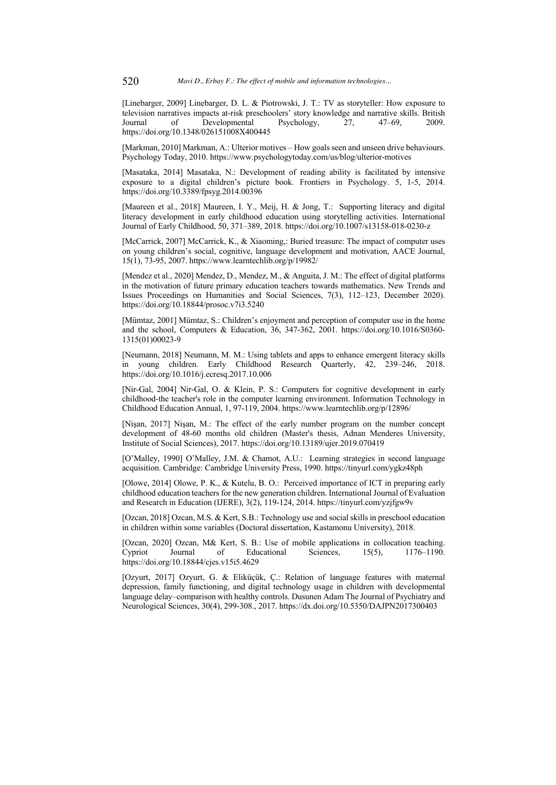[Linebarger, 2009] Linebarger, D. L. & Piotrowski, J. T.: TV as storyteller: How exposure to television narratives impacts at-risk preschoolers' story knowledge and narrative skills. British Journal of Developmental Psychology, 27, 47–69, 2009. https://doi.org/10.1348/026151008X400445

[Markman, 2010] Markman, A.: Ulterior motives – How goals seen and unseen drive behaviours. Psychology Today, 2010. https://www.psychologytoday.com/us/blog/ulterior-motives

[Masataka, 2014] Masataka, N.: Development of reading ability is facilitated by intensive exposure to a digital children's picture book. Frontiers in Psychology. 5, 1-5, 2014. https://doi.org/10.3389/fpsyg.2014.00396

[Maureen et al., 2018] Maureen, I. Y., Meij, H. & Jong, T.: Supporting literacy and digital literacy development in early childhood education using storytelling activities. International Journal of Early Childhood, 50, 371–389, 2018. https://doi.org/10.1007/s13158-018-0230-z

[McCarrick, 2007] McCarrick, K., & Xiaoming,: Buried treasure: The impact of computer uses on young children's social, cognitive, language development and motivation, AACE Journal, 15(1), 73-95, 2007. https://www.learntechlib.org/p/19982/

[Mendez et al., 2020] Mendez, D., Mendez, M., & Anguita, J. M.: The effect of digital platforms in the motivation of future primary education teachers towards mathematics. New Trends and Issues Proceedings on Humanities and Social Sciences, 7(3), 112–123, December 2020). https://doi.org/10.18844/prosoc.v7i3.5240

[Mümtaz, 2001] Mümtaz, S.: Children's enjoyment and perception of computer use in the home and the school, Computers & Education, 36, 347-362, 2001. https://doi.org/10.1016/S0360- 1315(01)00023-9

[Neumann, 2018] Neumann, M. M.: Using tablets and apps to enhance emergent literacy skills in young children. Early Childhood Research Quarterly, 42, 239–246, 2018. https://doi.org/10.1016/j.ecresq.2017.10.006

[Nir-Gal, 2004] Nir-Gal, O. & Klein, P. S.: Computers for cognitive development in early childhood-the teacher's role in the computer learning environment. Information Technology in Childhood Education Annual, 1, 97-119, 2004. https://www.learntechlib.org/p/12896/

[Nişan, 2017] Nişan, M.: The effect of the early number program on the number concept development of 48-60 months old children (Master's thesis, Adnan Menderes University, Institute of Social Sciences), 2017. https://doi.org/10.13189/ujer.2019.070419

[O'Malley, 1990] O'Malley, J.M. & Chamot, A.U.: Learning strategies in second language acquisition. Cambridge: Cambridge University Press, 1990. https://tinyurl.com/ygkz48ph

[Olowe, 2014] Olowe, P. K., & Kutelu, B. O.: Perceived importance of ICT in preparing early childhood education teachers for the new generation children. International Journal of Evaluation and Research in Education (IJERE), 3(2), 119-124, 2014. https://tinyurl.com/yzjfgw9v

[Ozcan, 2018] Ozcan, M.S. & Kert, S.B.: Technology use and social skills in preschool education in children within some variables (Doctoral dissertation, Kastamonu University), 2018.

[Ozcan, 2020] Ozcan, M& Kert, S. B.: Use of mobile applications in collocation teaching. Cypriot Journal of Educational Sciences, 15(5), 1176–1190. https://doi.org/10.18844/cjes.v15i5.4629

[Ozyurt, 2017] Ozyurt, G. & Eliküçük, Ç.: Relation of language features with maternal depression, family functioning, and digital technology usage in children with developmental language delay–comparison with healthy controls. Dusunen Adam The Journal of Psychiatry and Neurological Sciences, 30(4), 299-308., 2017. https://dx.doi.org/10.5350/DAJPN2017300403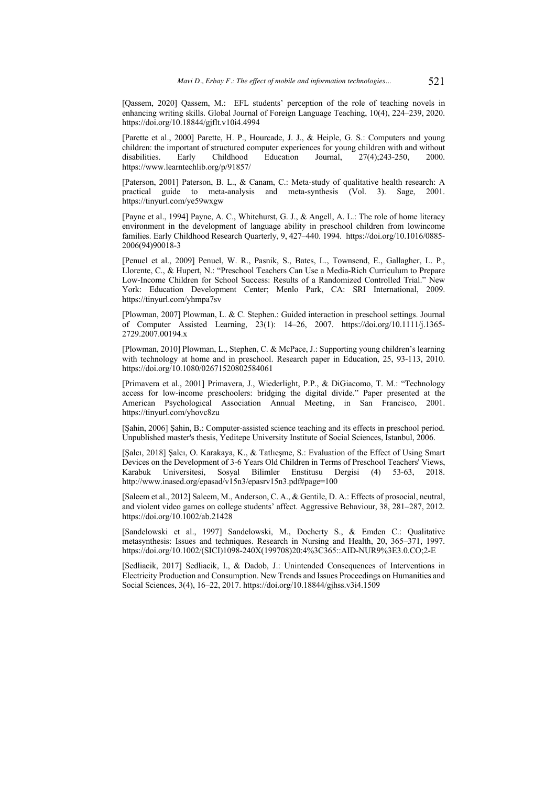[Qassem, 2020] Qassem, M.: EFL students' perception of the role of teaching novels in enhancing writing skills. Global Journal of Foreign Language Teaching, 10(4), 224–239, 2020. https://doi.org/10.18844/gjflt.v10i4.4994

[Parette et al., 2000] Parette, H. P., Hourcade, J. J., & Heiple, G. S.: Computers and young children: the important of structured computer experiences for young children with and without disabilities. Early Childhood Education Journal, 27(4):243-250, 2000. disabilities. Early Childhood Education Journal, 27(4);243-250, 2000. https://www.learntechlib.org/p/91857/

[Paterson, 2001] Paterson, B. L., & Canam, C.: Meta-study of qualitative health research: A practical guide to meta-analysis and meta-synthesis (Vol. 3). Sage, 2001. https://tinyurl.com/ye59wxgw

[Payne et al., 1994] Payne, A. C., Whitehurst, G. J., & Angell, A. L.: The role of home literacy environment in the development of language ability in preschool children from lowincome families. Early Childhood Research Quarterly, 9, 427–440. 1994. https://doi.org/10.1016/0885- 2006(94)90018-3

[Penuel et al., 2009] Penuel, W. R., Pasnik, S., Bates, L., Townsend, E., Gallagher, L. P., Llorente, C., & Hupert, N.: "Preschool Teachers Can Use a Media-Rich Curriculum to Prepare Low-Income Children for School Success: Results of a Randomized Controlled Trial." New York: Education Development Center; Menlo Park, CA: SRI International, 2009. https://tinyurl.com/yhmpa7sv

[Plowman, 2007] Plowman, L. & C. Stephen.: Guided interaction in preschool settings. Journal of Computer Assisted Learning, 23(1): 14–26, 2007. https://doi.org/10.1111/j.1365- 2729.2007.00194.x

[Plowman, 2010] Plowman, L., Stephen, C. & McPace, J.: Supporting young children's learning with technology at home and in preschool. Research paper in Education, 25, 93-113, 2010. https://doi.org/10.1080/02671520802584061

[Primavera et al., 2001] Primavera, J., Wiederlight, P.P., & DiGiacomo, T. M.: "Technology access for low-income preschoolers: bridging the digital divide." Paper presented at the American Psychological Association Annual Meeting, in San Francisco, 2001. https://tinyurl.com/yhovc8zu

[Şahin, 2006] Şahin, B.: Computer-assisted science teaching and its effects in preschool period. Unpublished master's thesis, Yeditepe University Institute of Social Sciences, Istanbul, 2006.

[Şalcı, 2018] Şalcı, O. Karakaya, K., & Tatlıeşme, S.: Evaluation of the Effect of Using Smart Devices on the Development of 3-6 Years Old Children in Terms of Preschool Teachers' Views, Karabuk Universitesi, Sosyal Bilimler Enstitusu Dergisi (4) 53-63, 2018. http://www.inased.org/epasad/v15n3/epasrv15n3.pdf#page=100

[Saleem et al., 2012] Saleem, M., Anderson, C. A., & Gentile, D. A.: Effects of prosocial, neutral, and violent video games on college students' affect. Aggressive Behaviour, 38, 281–287, 2012. https://doi.org/10.1002/ab.21428

[Sandelowski et al., 1997] Sandelowski, M., Docherty S., & Emden C.: Qualitative metasynthesis: Issues and techniques. Research in Nursing and Health, 20, 365–371, 1997. https://doi.org/10.1002/(SICI)1098-240X(199708)20:4%3C365::AID-NUR9%3E3.0.CO;2-E

[Sedliacik, 2017] Sedliacik, I., & Dadob, J.: Unintended Consequences of Interventions in Electricity Production and Consumption. New Trends and Issues Proceedings on Humanities and Social Sciences, 3(4), 16–22, 2017. https://doi.org/10.18844/gjhss.v3i4.1509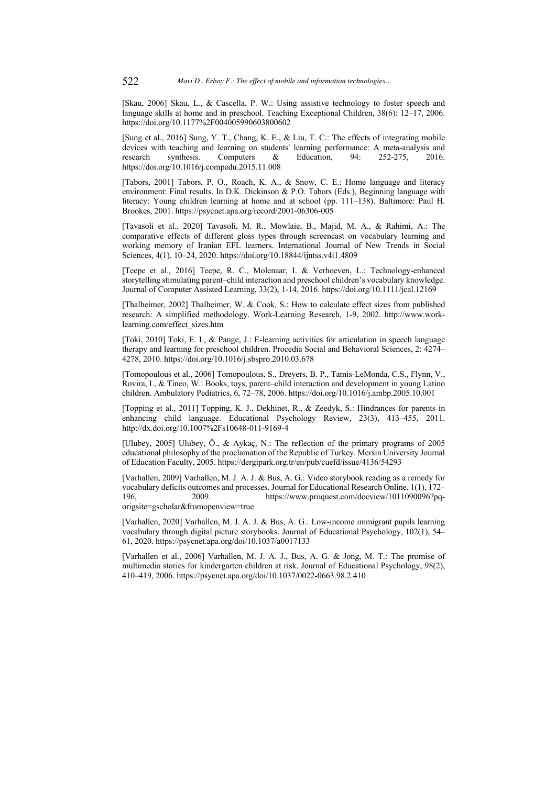[Skau, 2006] Skau, L., & Cascella, P. W.: Using assistive technology to foster speech and language skills at home and in preschool. Teaching Exceptional Children, 38(6): 12-17, 2006. https://doi.org/10.1177%2F004005990603800602

[Sung et al., 2016] Sung, Y. T., Chang, K. E., & Liu, T. C.: The effects of integrating mobile devices with teaching and learning on students' learning performance: A meta-analysis and research synthesis. Computers & Education, 94: 252-275, 2016. https://doi.org/10.1016/j.compedu.2015.11.008

[Tabors, 2001] Tabors, P. O., Roach, K. A., & Snow, C. E.: Home language and literacy environment: Final results. In D.K. Dickinson & P.O. Tabors (Eds.), Beginning language with literacy: Young children learning at home and at school (pp. 111–138). Baltimore: Paul H. Brookes, 2001. https://psycnet.apa.org/record/2001-06306-005

[Tavasoli et al., 2020] Tavasoli, M. R., Mowlaie, B., Majid, M. A., & Rahimi, A.: The comparative effects of different gloss types through screencast on vocabulary learning and working memory of Iranian EFL learners. International Journal of New Trends in Social Sciences, 4(1), 10–24, 2020. https://doi.org/10.18844/ijntss.v4i1.4809

[Teepe et al., 2016] Teepe, R. C., Molenaar, I. & Verhoeven, L.: Technology-enhanced storytelling stimulating parent–child interaction and preschool children's vocabulary knowledge. Journal of Computer Assisted Learning, 33(2), 1-14, 2016. https://doi.org/10.1111/jcal.12169

[Thalheimer, 2002] Thalheimer, W. & Cook, S.: How to calculate effect sizes from published research: A simplified methodology. Work-Learning Research, 1-9, 2002. http://www.worklearning.com/effect\_sizes.htm

[Toki, 2010] Toki, E. I., & Pange, J.: E-learning activities for articulation in speech language therapy and learning for preschool children. Procedia Social and Behavioral Sciences, 2: 4274– 4278, 2010. https://doi.org/10.1016/j.sbspro.2010.03.678

[Tomopoulous et al., 2006] Tomopoulous, S., Dreyers, B. P., Tamis-LeMonda, C.S., Flynn, V., Rovira, I., & Tineo, W.: Books, toys, parent–child interaction and development in young Latino children. Ambulatory Pediatrics, 6, 72–78, 2006. https://doi.org/10.1016/j.ambp.2005.10.001

[Topping et al., 2011] Topping, K. J., Dekhinet, R., & Zeedyk, S.: Hindrances for parents in enhancing child language. Educational Psychology Review, 23(3), 413–455, 2011. http://dx.doi.org/10.1007%2Fs10648-011-9169-4

[Ulubey, 2005] Ulubey, Ö., & Aykaç, N.: The reflection of the primary programs of 2005 educational philosophy of the proclamation of the Republic of Turkey. Mersin University Journal of Education Faculty, 2005. https://dergipark.org.tr/en/pub/cuefd/issue/4136/54293

[Varhallen, 2009] Varhallen, M. J. A. J. & Bus, A. G.: Video storybook reading as a remedy for vocabulary deficits outcomes and processes. Journal for Educational Research Online, 1(1), 172– 196, 2009. https://www.proquest.com/docview/1011090096?pqorigsite=gscholar&fromopenview=true

[Varhallen, 2020] Varhallen, M. J. A. J. & Bus, A. G.: Low-ıncome ımmigrant pupils learning vocabulary through digital picture storybooks. Journal of Educational Psychology, 102(1), 54– 61, 2020. https://psycnet.apa.org/doi/10.1037/a0017133

[Varhallen et al., 2006] Varhallen, M. J. A. J., Bus, A. G. & Jong, M. T.: The promise of multimedia stories for kindergarten children at risk. Journal of Educational Psychology, 98(2), 410–419, 2006. https://psycnet.apa.org/doi/10.1037/0022-0663.98.2.410